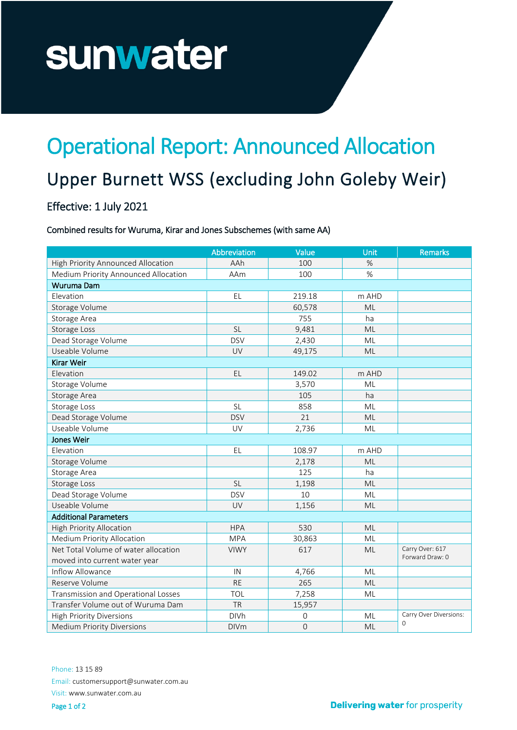# sunwater

## Operational Report: Announced Allocation

### Upper Burnett WSS (excluding John Goleby Weir)

#### Effective: 1 July 2021

#### Combined results for Wuruma, Kirar and Jones Subschemes (with same AA)

|                                      | Abbreviation | Value       | <b>Unit</b> | <b>Remarks</b>                     |
|--------------------------------------|--------------|-------------|-------------|------------------------------------|
| High Priority Announced Allocation   | AAh          | 100         | %           |                                    |
| Medium Priority Announced Allocation | AAm          | 100         | %           |                                    |
| Wuruma Dam                           |              |             |             |                                    |
| Elevation                            | EL           | 219.18      | m AHD       |                                    |
| Storage Volume                       |              | 60,578      | ML          |                                    |
| Storage Area                         |              | 755         | ha          |                                    |
| Storage Loss                         | <b>SL</b>    | 9,481       | ML          |                                    |
| Dead Storage Volume                  | <b>DSV</b>   | 2,430       | ML          |                                    |
| Useable Volume                       | UV           | 49,175      | ML          |                                    |
| Kirar Weir                           |              |             |             |                                    |
| Elevation                            | EL           | 149.02      | m AHD       |                                    |
| Storage Volume                       |              | 3,570       | ML          |                                    |
| Storage Area                         |              | 105         | ha          |                                    |
| Storage Loss                         | <b>SL</b>    | 858         | ML          |                                    |
| Dead Storage Volume                  | <b>DSV</b>   | 21          | ML          |                                    |
| Useable Volume                       | UV           | 2,736       | ML          |                                    |
| Jones Weir                           |              |             |             |                                    |
| Elevation                            | EL           | 108.97      | m AHD       |                                    |
| Storage Volume                       |              | 2,178       | ML          |                                    |
| Storage Area                         |              | 125         | ha          |                                    |
| Storage Loss                         | <b>SL</b>    | 1,198       | ML          |                                    |
| Dead Storage Volume                  | <b>DSV</b>   | 10          | ML          |                                    |
| Useable Volume                       | UV           | 1,156       | ML          |                                    |
| <b>Additional Parameters</b>         |              |             |             |                                    |
| <b>High Priority Allocation</b>      | <b>HPA</b>   | 530         | ML          |                                    |
| <b>Medium Priority Allocation</b>    | <b>MPA</b>   | 30,863      | ML          |                                    |
| Net Total Volume of water allocation | <b>VIWY</b>  | 617         | <b>ML</b>   | Carry Over: 617                    |
| moved into current water year        |              |             |             | Forward Draw: 0                    |
| Inflow Allowance                     | IN           | 4,766       | ML          |                                    |
| Reserve Volume                       | <b>RE</b>    | 265         | <b>ML</b>   |                                    |
| Transmission and Operational Losses  | TOL          | 7,258       | ML          |                                    |
| Transfer Volume out of Wuruma Dam    | <b>TR</b>    | 15,957      |             |                                    |
| <b>High Priority Diversions</b>      | <b>DIVh</b>  | 0           | ML          | Carry Over Diversions:<br>$\Omega$ |
| <b>Medium Priority Diversions</b>    | <b>DIVm</b>  | $\mathbf 0$ | ML          |                                    |

Phone: 13 15 89 Email: customersupport@sunwater.com.au Visit: www.sunwater.com.au